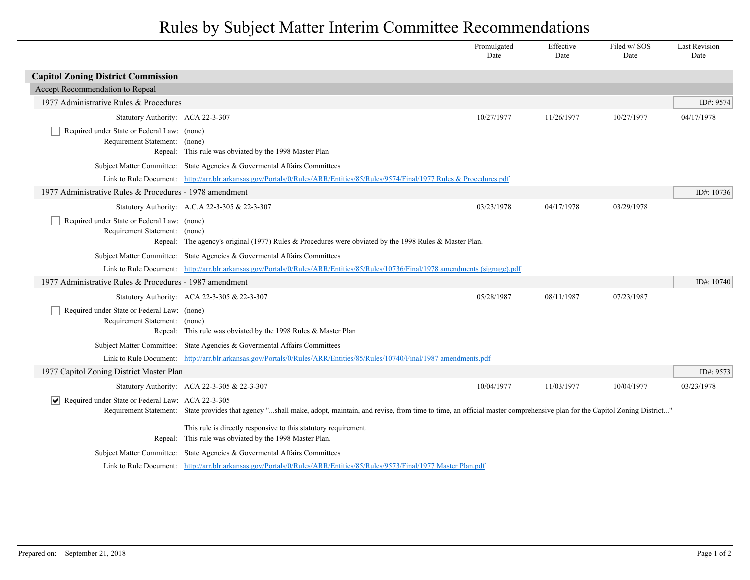## Rules by Subject Matter Interim Committee Recommendations

|                                                                              |                                                                                                                                                                                       | Promulgated<br>Date | Effective<br>Date | Filed w/SOS<br>Date | <b>Last Revision</b><br>Date |  |
|------------------------------------------------------------------------------|---------------------------------------------------------------------------------------------------------------------------------------------------------------------------------------|---------------------|-------------------|---------------------|------------------------------|--|
| <b>Capitol Zoning District Commission</b>                                    |                                                                                                                                                                                       |                     |                   |                     |                              |  |
| Accept Recommendation to Repeal                                              |                                                                                                                                                                                       |                     |                   |                     |                              |  |
| 1977 Administrative Rules & Procedures                                       |                                                                                                                                                                                       |                     |                   |                     | ID#: $9574$                  |  |
| Statutory Authority: ACA 22-3-307                                            |                                                                                                                                                                                       | 10/27/1977          | 11/26/1977        | 10/27/1977          | 04/17/1978                   |  |
| Required under State or Federal Law: (none)<br>Requirement Statement: (none) | Repeal: This rule was obviated by the 1998 Master Plan                                                                                                                                |                     |                   |                     |                              |  |
|                                                                              | Subject Matter Committee: State Agencies & Governental Affairs Committees                                                                                                             |                     |                   |                     |                              |  |
|                                                                              | Link to Rule Document: http://arr.blr.arkansas.gov/Portals/0/Rules/ARR/Entities/85/Rules/9574/Final/1977 Rules & Procedures.pdf                                                       |                     |                   |                     |                              |  |
| 1977 Administrative Rules & Procedures - 1978 amendment                      |                                                                                                                                                                                       |                     |                   |                     | ID#: 10736                   |  |
|                                                                              | Statutory Authority: A.C.A 22-3-305 & 22-3-307                                                                                                                                        | 03/23/1978          | 04/17/1978        | 03/29/1978          |                              |  |
| Required under State or Federal Law: (none)<br>Requirement Statement: (none) | Repeal: The agency's original (1977) Rules & Procedures were obviated by the 1998 Rules & Master Plan.                                                                                |                     |                   |                     |                              |  |
|                                                                              | Subject Matter Committee: State Agencies & Governental Affairs Committees                                                                                                             |                     |                   |                     |                              |  |
|                                                                              | Link to Rule Document: http://arr.blr.arkansas.gov/Portals/0/Rules/ARR/Entities/85/Rules/10736/Final/1978 amendments (signage).pdf                                                    |                     |                   |                     |                              |  |
| 1977 Administrative Rules & Procedures - 1987 amendment                      |                                                                                                                                                                                       |                     |                   |                     | ID#: $10740$                 |  |
|                                                                              | Statutory Authority: ACA 22-3-305 & 22-3-307                                                                                                                                          | 05/28/1987          | 08/11/1987        | 07/23/1987          |                              |  |
| Required under State or Federal Law: (none)<br>Requirement Statement: (none) | Repeal: This rule was obviated by the 1998 Rules & Master Plan                                                                                                                        |                     |                   |                     |                              |  |
|                                                                              | Subject Matter Committee: State Agencies & Governental Affairs Committees                                                                                                             |                     |                   |                     |                              |  |
|                                                                              | Link to Rule Document: http://arr.blr.arkansas.gov/Portals/0/Rules/ARR/Entities/85/Rules/10740/Final/1987 amendments.pdf                                                              |                     |                   |                     |                              |  |
| 1977 Capitol Zoning District Master Plan                                     |                                                                                                                                                                                       |                     |                   |                     | ID#: 9573                    |  |
|                                                                              | Statutory Authority: ACA 22-3-305 & 22-3-307                                                                                                                                          | 10/04/1977          | 11/03/1977        | 10/04/1977          | 03/23/1978                   |  |
| Required under State or Federal Law: ACA 22-3-305<br>∣V∣                     | Requirement Statement: State provides that agency "shall make, adopt, maintain, and revise, from time to time, an official master comprehensive plan for the Capitol Zoning District" |                     |                   |                     |                              |  |
|                                                                              | This rule is directly responsive to this statutory requirement.<br>Repeal: This rule was obviated by the 1998 Master Plan.                                                            |                     |                   |                     |                              |  |
|                                                                              | Subject Matter Committee: State Agencies & Governental Affairs Committees                                                                                                             |                     |                   |                     |                              |  |
|                                                                              | Link to Rule Document: http://arr.blr.arkansas.gov/Portals/0/Rules/ARR/Entities/85/Rules/9573/Final/1977 Master Plan.pdf                                                              |                     |                   |                     |                              |  |